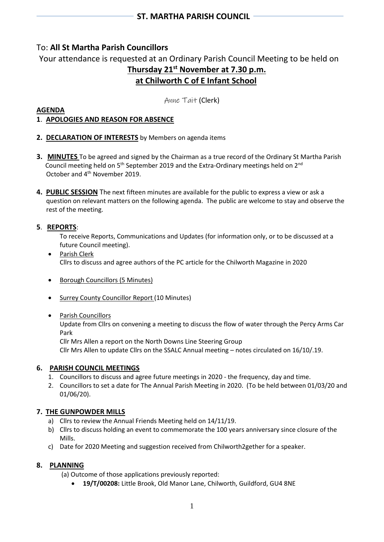# To: **All St Martha Parish Councillors**

Your attendance is requested at an Ordinary Parish Council Meeting to be held on **Thursday 21st November at 7.30 p.m. at Chilworth C of E Infant School**

Anne Tait (Clerk)

### **AGENDA**

# **1**. **APOLOGIES AND REASON FOR ABSENCE**

- **2. DECLARATION OF INTERESTS** by Members on agenda items
- **3. MINUTES** To be agreed and signed by the Chairman as a true record of the Ordinary St Martha Parish Council meeting held on 5<sup>th</sup> September 2019 and the Extra-Ordinary meetings held on 2<sup>nd</sup> October and 4<sup>th</sup> November 2019.
- **4. PUBLIC SESSION** The next fifteen minutes are available for the public to express a view or ask a question on relevant matters on the following agenda. The public are welcome to stay and observe the rest of the meeting.

## **5**. **REPORTS**:

To receive Reports, Communications and Updates (for information only, or to be discussed at a future Council meeting).

- Parish Clerk Cllrs to discuss and agree authors of the PC article for the Chilworth Magazine in 2020
- Borough Councillors (5 Minutes)
- Surrey County Councillor Report (10 Minutes)
- Parish Councillors

Update from Cllrs on convening a meeting to discuss the flow of water through the Percy Arms Car Park

Cllr Mrs Allen a report on the North Downs Line Steering Group

Cllr Mrs Allen to update Cllrs on the SSALC Annual meeting – notes circulated on 16/10/.19.

# **6. PARISH COUNCIL MEETINGS**

- 1. Councillors to discuss and agree future meetings in 2020 the frequency, day and time.
- 2. Councillors to set a date for The Annual Parish Meeting in 2020. (To be held between 01/03/20 and 01/06/20).

# **7. THE GUNPOWDER MILLS**

- a) Cllrs to review the Annual Friends Meeting held on 14/11/19.
- b) Cllrs to discuss holding an event to commemorate the 100 years anniversary since closure of the Mills.
- c) Date for 2020 Meeting and suggestion received from Chilworth2gether for a speaker.

### **8. PLANNING**

(a) Outcome of those applications previously reported:

• **19/T/00208:** Little Brook, Old Manor Lane, Chilworth, Guildford, GU4 8NE